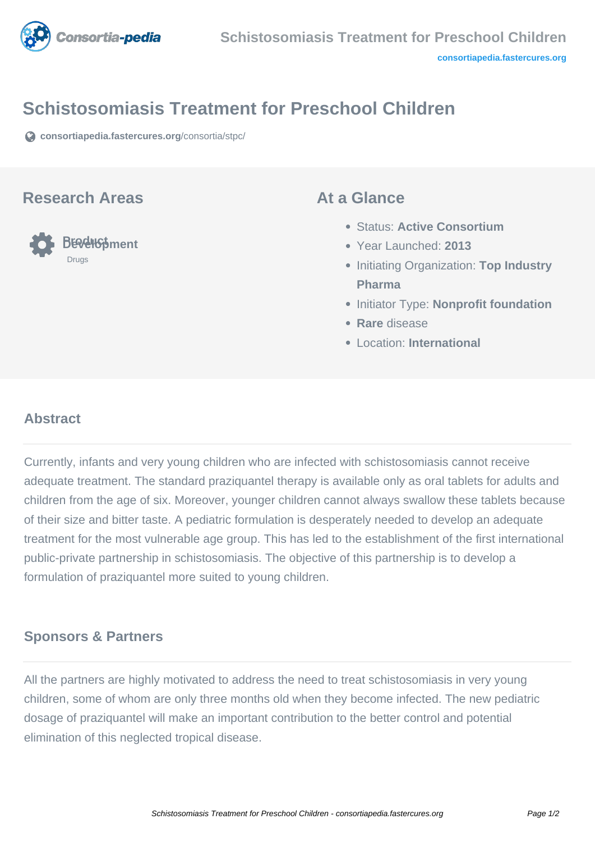

# **Schistosomiasis Treatment for Preschool Children**

**[consortiapedia.fastercures.org](https://consortiapedia.fastercures.org/consortia/stpc/)**[/consortia/stpc/](https://consortiapedia.fastercures.org/consortia/stpc/)

#### **Research Areas**



### **At a Glance**

- Status: **Active Consortium**
- Year Launched: **2013**
- **Initiating Organization: Top Industry Pharma**
- **Initiator Type: Nonprofit foundation**
- **Rare** disease
- Location: **International**

## **Abstract**

Currently, infants and very young children who are infected with schistosomiasis cannot receive adequate treatment. The standard praziquantel therapy is available only as oral tablets for adults and children from the age of six. Moreover, younger children cannot always swallow these tablets because of their size and bitter taste. A pediatric formulation is desperately needed to develop an adequate treatment for the most vulnerable age group. This has led to the establishment of the first international public-private partnership in schistosomiasis. The objective of this partnership is to develop a formulation of praziquantel more suited to young children.

## **Sponsors & Partners**

All the partners are highly motivated to address the need to treat schistosomiasis in very young children, some of whom are only three months old when they become infected. The new pediatric dosage of praziquantel will make an important contribution to the better control and potential elimination of this neglected tropical disease.